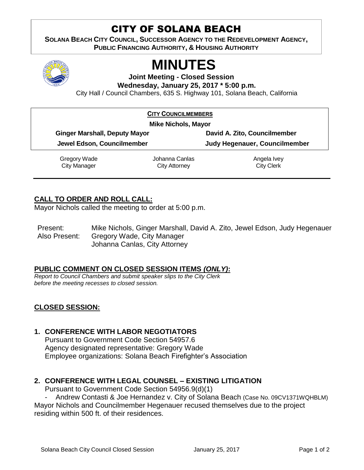# CITY OF SOLANA BEACH

**SOLANA BEACH CITY COUNCIL, SUCCESSOR AGENCY TO THE REDEVELOPMENT AGENCY, PUBLIC FINANCING AUTHORITY, & HOUSING AUTHORITY** 



# **MINUTES**

**Joint Meeting - Closed Session Wednesday, January 25, 2017 \* 5:00 p.m.**

City Hall / Council Chambers, 635 S. Highway 101, Solana Beach, California

| <b>CITY COUNCILMEMBERS</b>           |                                        |                                  |  |  |
|--------------------------------------|----------------------------------------|----------------------------------|--|--|
|                                      | <b>Mike Nichols, Mayor</b>             |                                  |  |  |
| <b>Ginger Marshall, Deputy Mayor</b> |                                        | David A. Zito, Councilmember     |  |  |
| Jewel Edson, Councilmember           |                                        | Judy Hegenauer, Councilmember    |  |  |
| Gregory Wade<br>City Manager         | Johanna Canlas<br><b>City Attorney</b> | Angela Ivey<br><b>City Clerk</b> |  |  |

## **CALL TO ORDER AND ROLL CALL:**

Mayor Nichols called the meeting to order at 5:00 p.m.

Present: Mike Nichols, Ginger Marshall, David A. Zito, Jewel Edson, Judy Hegenauer Also Present: Gregory Wade, City Manager Johanna Canlas, City Attorney

### **PUBLIC COMMENT ON CLOSED SESSION ITEMS** *(ONLY)***:**

*Report to Council Chambers and submit speaker slips to the City Clerk before the meeting recesses to closed session.*

### **CLOSED SESSION:**

### **1. CONFERENCE WITH LABOR NEGOTIATORS**

Pursuant to Government Code Section 54957.6 Agency designated representative: Gregory Wade Employee organizations: Solana Beach Firefighter's Association

#### **2. CONFERENCE WITH LEGAL COUNSEL – EXISTING LITIGATION**

Pursuant to Government Code Section 54956.9(d)(1)

Andrew Contasti & Joe Hernandez v. City of Solana Beach (Case No. 09CV1371WQHBLM)

Mayor Nichols and Councilmember Hegenauer recused themselves due to the project residing within 500 ft. of their residences.